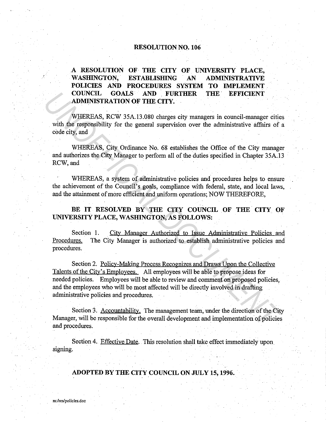## **RESOLUTION NO. 106**

## **A RESOLUTION OF THE CITY OF UNIVERSITY PLACE, WASHINGTON, ESTABLISHING AN ADMINISTRATIVE POLICIES AND PROCEDURES SYSTEM TO IMPLEMENT COUNCIL GOALS AND FURTHER THE. EFFICIENT ADMINISTRATION OF THE CITY.**

WHEREAS, RCW 35A.13.080 charges city managers in council-manager cities with the responsibility for the general supervision over the administrative affairs of a code city, and

WHEREAS, City Ordinance No. 68 establishes the Office of the City manager and authorizes the City Manager to perform all of the duties specified in Chapter 35A.13 RCW,and

WHEREAS, a system of administrative policies and procedures helps to ensure the achievement of the Council's goals, compliance with federal, state, and local laws, and the attainment of more efficient and uniform operations; NOW THEREFORE,

BE IT RESOLVED BY THE CITY COUNCIL OF THE CITY OF **UNIVERSITY PLACE, WASHINGTON, AS FOLLOWS:** 

Section 1. City Manager Authorized to Issue Administrative Policies and Procedures. The City Manager is authorized to establish administrative policies and procedures.

Section 2. Policy-Making Process Recognizes and Draws Upon the Collective Talents of the City's Employees. All employees will be able to propose ideas for needed policies. Employees will be able to review and comment on proposed policies, and the employees who will be most affected will be directly involved in drafting administrative policies and procedures. **COUNCIL GOALS AND FUNCTIONS THE EFFICIENT**<br> **ZOUNTER CATES**<br> **ZADMINISTRATION OF THE CITY.**<br> **WHEREAS, RCV 35A.13.080 charges city managers in council-manager cite<br>
with the responsibility for the general supervision over** 

Section 3. Accountability. The management team, under the direction of the City Manager, will be responsible for the overall development and implementation of policies and procedures.

Section 4. Effective Date. This resolution shall take effect immediately upon signing.

## **ADOPTED BY THE CITY COUNCIL ON JULY 15, 1996.**

**m:/res/policies:doc**